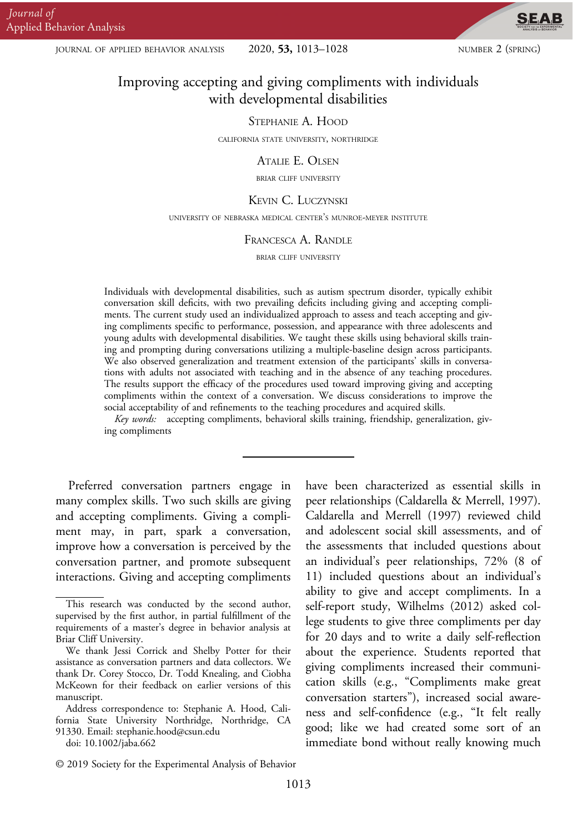JOURNAL OF APPLIED BEHAVIOR ANALYSIS  $2020, 53, 1013-1028$  NUMBER 2 (SPRING)

**SEAB** 

# Improving accepting and giving compliments with individuals with developmental disabilities

#### STEPHANIE A. HOOD

CALIFORNIA STATE UNIVERSITY, NORTHRIDGE

#### ATALIE E. OLSEN

BRIAR CLIFF UNIVERSITY

#### KEVIN C. LUCZYNSKI

UNIVERSITY OF NEBRASKA MEDICAL CENTER'S MUNROE-MEYER INSTITUTE

#### FRANCESCA A. RANDLE

BRIAR CLIFF UNIVERSITY

Individuals with developmental disabilities, such as autism spectrum disorder, typically exhibit conversation skill deficits, with two prevailing deficits including giving and accepting compliments. The current study used an individualized approach to assess and teach accepting and giving compliments specific to performance, possession, and appearance with three adolescents and young adults with developmental disabilities. We taught these skills using behavioral skills training and prompting during conversations utilizing a multiple-baseline design across participants. We also observed generalization and treatment extension of the participants' skills in conversations with adults not associated with teaching and in the absence of any teaching procedures. The results support the efficacy of the procedures used toward improving giving and accepting compliments within the context of a conversation. We discuss considerations to improve the social acceptability of and refinements to the teaching procedures and acquired skills.

Key words: accepting compliments, behavioral skills training, friendship, generalization, giving compliments

Preferred conversation partners engage in many complex skills. Two such skills are giving and accepting compliments. Giving a compliment may, in part, spark a conversation, improve how a conversation is perceived by the conversation partner, and promote subsequent interactions. Giving and accepting compliments

doi: 10.1002/jaba.662

have been characterized as essential skills in peer relationships (Caldarella & Merrell, 1997). Caldarella and Merrell (1997) reviewed child and adolescent social skill assessments, and of the assessments that included questions about an individual's peer relationships, 72% (8 of 11) included questions about an individual's ability to give and accept compliments. In a self-report study, Wilhelms (2012) asked college students to give three compliments per day for 20 days and to write a daily self-reflection about the experience. Students reported that giving compliments increased their communication skills (e.g., "Compliments make great conversation starters"), increased social awareness and self-confidence (e.g., "It felt really good; like we had created some sort of an immediate bond without really knowing much

This research was conducted by the second author, supervised by the first author, in partial fulfillment of the requirements of a master's degree in behavior analysis at Briar Cliff University.

We thank Jessi Corrick and Shelby Potter for their assistance as conversation partners and data collectors. We thank Dr. Corey Stocco, Dr. Todd Knealing, and Ciobha McKeown for their feedback on earlier versions of this manuscript.

Address correspondence to: Stephanie A. Hood, California State University Northridge, Northridge, CA 91330. Email: stephanie.hood@csun.edu

<sup>© 2019</sup> Society for the Experimental Analysis of Behavior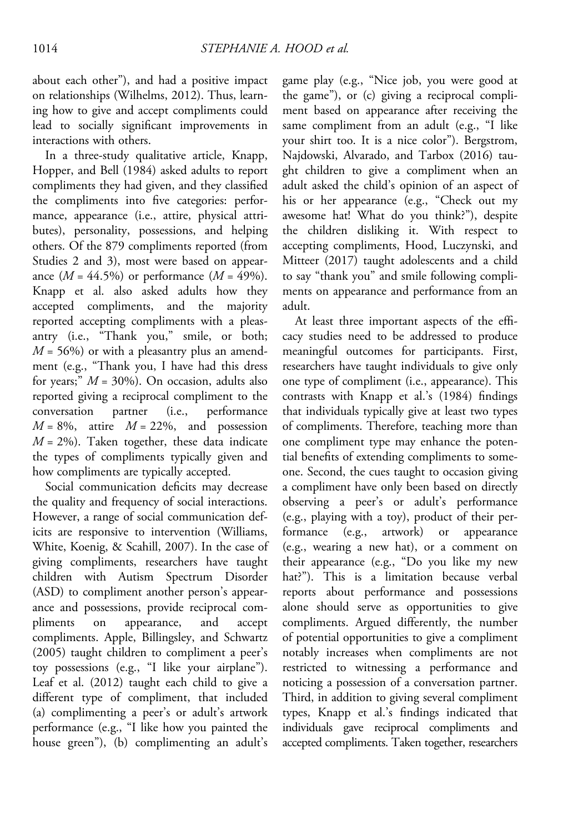about each other"), and had a positive impact on relationships (Wilhelms, 2012). Thus, learning how to give and accept compliments could lead to socially significant improvements in interactions with others.

In a three-study qualitative article, Knapp, Hopper, and Bell (1984) asked adults to report compliments they had given, and they classified the compliments into five categories: performance, appearance (i.e., attire, physical attributes), personality, possessions, and helping others. Of the 879 compliments reported (from Studies 2 and 3), most were based on appearance  $(M = 44.5\%)$  or performance  $(M = 49\%).$ Knapp et al. also asked adults how they accepted compliments, and the majority reported accepting compliments with a pleasantry (i.e., "Thank you," smile, or both;  $M = 56\%$ ) or with a pleasantry plus an amendment (e.g., "Thank you, I have had this dress for years;"  $M = 30\%$ ). On occasion, adults also reported giving a reciprocal compliment to the conversation partner (i.e., performance  $M = 8\%$ , attire  $M = 22\%$ , and possession  $M = 2\%)$ . Taken together, these data indicate the types of compliments typically given and how compliments are typically accepted.

Social communication deficits may decrease the quality and frequency of social interactions. However, a range of social communication deficits are responsive to intervention (Williams, White, Koenig, & Scahill, 2007). In the case of giving compliments, researchers have taught children with Autism Spectrum Disorder (ASD) to compliment another person's appearance and possessions, provide reciprocal compliments on appearance, and accept compliments. Apple, Billingsley, and Schwartz (2005) taught children to compliment a peer's toy possessions (e.g., "I like your airplane"). Leaf et al. (2012) taught each child to give a different type of compliment, that included (a) complimenting a peer's or adult's artwork performance (e.g., "I like how you painted the house green"), (b) complimenting an adult's game play (e.g., "Nice job, you were good at the game"), or (c) giving a reciprocal compliment based on appearance after receiving the same compliment from an adult (e.g., "I like your shirt too. It is a nice color"). Bergstrom, Najdowski, Alvarado, and Tarbox (2016) taught children to give a compliment when an adult asked the child's opinion of an aspect of his or her appearance (e.g., "Check out my awesome hat! What do you think?"), despite the children disliking it. With respect to accepting compliments, Hood, Luczynski, and Mitteer (2017) taught adolescents and a child to say "thank you" and smile following compliments on appearance and performance from an adult.

At least three important aspects of the efficacy studies need to be addressed to produce meaningful outcomes for participants. First, researchers have taught individuals to give only one type of compliment (i.e., appearance). This contrasts with Knapp et al.'s (1984) findings that individuals typically give at least two types of compliments. Therefore, teaching more than one compliment type may enhance the potential benefits of extending compliments to someone. Second, the cues taught to occasion giving a compliment have only been based on directly observing a peer's or adult's performance (e.g., playing with a toy), product of their performance (e.g., artwork) or appearance (e.g., wearing a new hat), or a comment on their appearance (e.g., "Do you like my new hat?"). This is a limitation because verbal reports about performance and possessions alone should serve as opportunities to give compliments. Argued differently, the number of potential opportunities to give a compliment notably increases when compliments are not restricted to witnessing a performance and noticing a possession of a conversation partner. Third, in addition to giving several compliment types, Knapp et al.'s findings indicated that individuals gave reciprocal compliments and accepted compliments. Taken together, researchers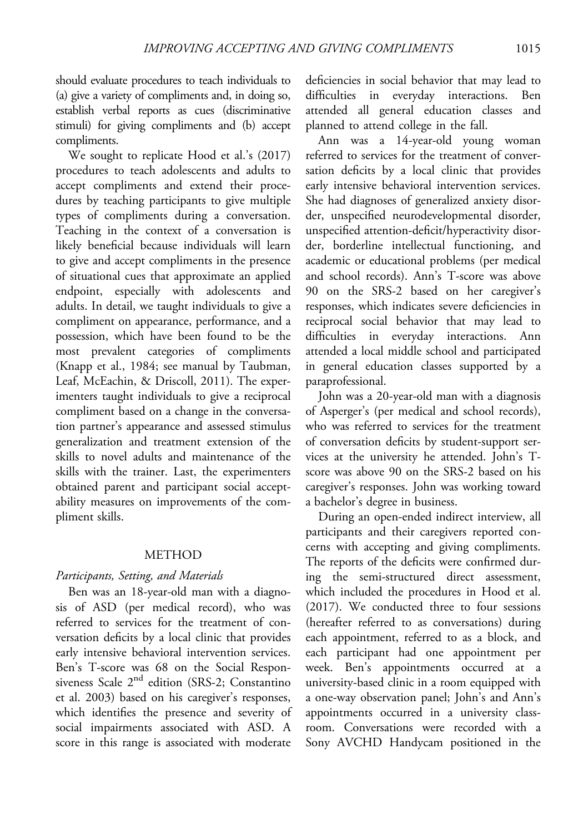should evaluate procedures to teach individuals to (a) give a variety of compliments and, in doing so, establish verbal reports as cues (discriminative stimuli) for giving compliments and (b) accept compliments.

We sought to replicate Hood et al.'s (2017) procedures to teach adolescents and adults to accept compliments and extend their procedures by teaching participants to give multiple types of compliments during a conversation. Teaching in the context of a conversation is likely beneficial because individuals will learn to give and accept compliments in the presence of situational cues that approximate an applied endpoint, especially with adolescents and adults. In detail, we taught individuals to give a compliment on appearance, performance, and a possession, which have been found to be the most prevalent categories of compliments (Knapp et al., 1984; see manual by Taubman, Leaf, McEachin, & Driscoll, 2011). The experimenters taught individuals to give a reciprocal compliment based on a change in the conversation partner's appearance and assessed stimulus generalization and treatment extension of the skills to novel adults and maintenance of the skills with the trainer. Last, the experimenters obtained parent and participant social acceptability measures on improvements of the compliment skills.

### METHOD

### Participants, Setting, and Materials

Ben was an 18-year-old man with a diagnosis of ASD (per medical record), who was referred to services for the treatment of conversation deficits by a local clinic that provides early intensive behavioral intervention services. Ben's T-score was 68 on the Social Responsiveness Scale  $2<sup>nd</sup>$  edition (SRS-2; Constantino et al. 2003) based on his caregiver's responses, which identifies the presence and severity of social impairments associated with ASD. A score in this range is associated with moderate

deficiencies in social behavior that may lead to difficulties in everyday interactions. Ben attended all general education classes and planned to attend college in the fall.

Ann was a 14-year-old young woman referred to services for the treatment of conversation deficits by a local clinic that provides early intensive behavioral intervention services. She had diagnoses of generalized anxiety disorder, unspecified neurodevelopmental disorder, unspecified attention-deficit/hyperactivity disorder, borderline intellectual functioning, and academic or educational problems (per medical and school records). Ann's T-score was above 90 on the SRS-2 based on her caregiver's responses, which indicates severe deficiencies in reciprocal social behavior that may lead to difficulties in everyday interactions. Ann attended a local middle school and participated in general education classes supported by a paraprofessional.

John was a 20-year-old man with a diagnosis of Asperger's (per medical and school records), who was referred to services for the treatment of conversation deficits by student-support services at the university he attended. John's Tscore was above 90 on the SRS-2 based on his caregiver's responses. John was working toward a bachelor's degree in business.

During an open-ended indirect interview, all participants and their caregivers reported concerns with accepting and giving compliments. The reports of the deficits were confirmed during the semi-structured direct assessment, which included the procedures in Hood et al. (2017). We conducted three to four sessions (hereafter referred to as conversations) during each appointment, referred to as a block, and each participant had one appointment per week. Ben's appointments occurred at a university-based clinic in a room equipped with a one-way observation panel; John's and Ann's appointments occurred in a university classroom. Conversations were recorded with a Sony AVCHD Handycam positioned in the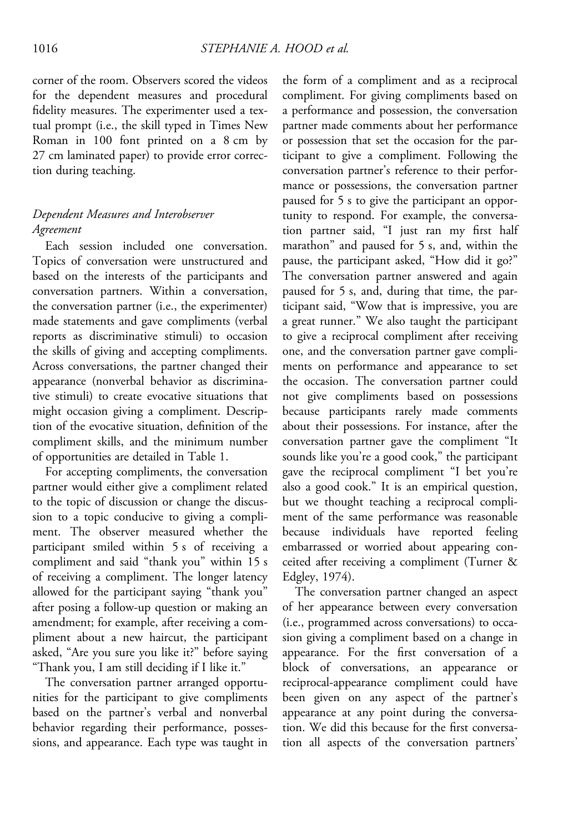corner of the room. Observers scored the videos for the dependent measures and procedural fidelity measures. The experimenter used a textual prompt (i.e., the skill typed in Times New Roman in 100 font printed on a 8 cm by 27 cm laminated paper) to provide error correction during teaching.

# Dependent Measures and Interobserver Agreement

Each session included one conversation. Topics of conversation were unstructured and based on the interests of the participants and conversation partners. Within a conversation, the conversation partner (i.e., the experimenter) made statements and gave compliments (verbal reports as discriminative stimuli) to occasion the skills of giving and accepting compliments. Across conversations, the partner changed their appearance (nonverbal behavior as discriminative stimuli) to create evocative situations that might occasion giving a compliment. Description of the evocative situation, definition of the compliment skills, and the minimum number of opportunities are detailed in Table 1.

For accepting compliments, the conversation partner would either give a compliment related to the topic of discussion or change the discussion to a topic conducive to giving a compliment. The observer measured whether the participant smiled within 5 s of receiving a compliment and said "thank you" within 15 s of receiving a compliment. The longer latency allowed for the participant saying "thank you" after posing a follow-up question or making an amendment; for example, after receiving a compliment about a new haircut, the participant asked, "Are you sure you like it?" before saying "Thank you, I am still deciding if I like it."

The conversation partner arranged opportunities for the participant to give compliments based on the partner's verbal and nonverbal behavior regarding their performance, possessions, and appearance. Each type was taught in the form of a compliment and as a reciprocal compliment. For giving compliments based on a performance and possession, the conversation partner made comments about her performance or possession that set the occasion for the participant to give a compliment. Following the conversation partner's reference to their performance or possessions, the conversation partner paused for 5 s to give the participant an opportunity to respond. For example, the conversation partner said, "I just ran my first half marathon" and paused for 5 s, and, within the pause, the participant asked, "How did it go?" The conversation partner answered and again paused for 5 s, and, during that time, the participant said, "Wow that is impressive, you are a great runner." We also taught the participant to give a reciprocal compliment after receiving one, and the conversation partner gave compliments on performance and appearance to set the occasion. The conversation partner could not give compliments based on possessions because participants rarely made comments about their possessions. For instance, after the conversation partner gave the compliment "It sounds like you're a good cook," the participant gave the reciprocal compliment "I bet you're also a good cook." It is an empirical question, but we thought teaching a reciprocal compliment of the same performance was reasonable because individuals have reported feeling embarrassed or worried about appearing conceited after receiving a compliment (Turner & Edgley, 1974).

The conversation partner changed an aspect of her appearance between every conversation (i.e., programmed across conversations) to occasion giving a compliment based on a change in appearance. For the first conversation of a block of conversations, an appearance or reciprocal-appearance compliment could have been given on any aspect of the partner's appearance at any point during the conversation. We did this because for the first conversation all aspects of the conversation partners'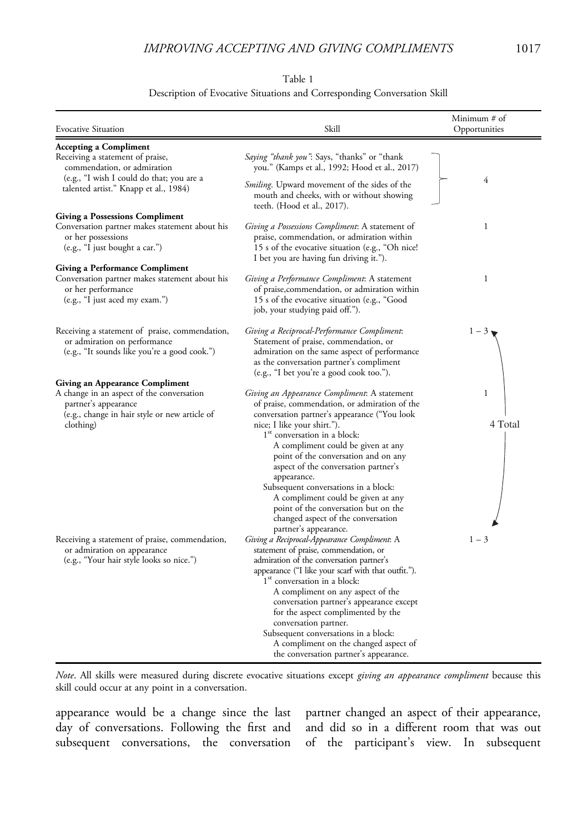## IMPROVING ACCEPTING AND GIVING COMPLIMENTS 1017

Table 1

#### Description of Evocative Situations and Corresponding Conversation Skill

| <b>Evocative Situation</b>                                                                                                      | Skill                                                                                                                                                                                                                                                                                                                                                                                                                                                                                                                                              | Minimum # of<br>Opportunities |
|---------------------------------------------------------------------------------------------------------------------------------|----------------------------------------------------------------------------------------------------------------------------------------------------------------------------------------------------------------------------------------------------------------------------------------------------------------------------------------------------------------------------------------------------------------------------------------------------------------------------------------------------------------------------------------------------|-------------------------------|
| <b>Accepting a Compliment</b>                                                                                                   |                                                                                                                                                                                                                                                                                                                                                                                                                                                                                                                                                    |                               |
| Receiving a statement of praise,<br>commendation, or admiration                                                                 | Saying "thank you": Says, "thanks" or "thank<br>you." (Kamps et al., 1992; Hood et al., 2017)                                                                                                                                                                                                                                                                                                                                                                                                                                                      |                               |
| (e.g., "I wish I could do that; you are a<br>talented artist." Knapp et al., 1984)                                              | <i>Smiling</i> . Upward movement of the sides of the<br>mouth and cheeks, with or without showing<br>teeth. (Hood et al., 2017).                                                                                                                                                                                                                                                                                                                                                                                                                   | 4                             |
| <b>Giving a Possessions Compliment</b>                                                                                          |                                                                                                                                                                                                                                                                                                                                                                                                                                                                                                                                                    |                               |
| Conversation partner makes statement about his<br>or her possessions<br>(e.g., "I just bought a car.")                          | Giving a Possessions Compliment: A statement of<br>praise, commendation, or admiration within<br>15 s of the evocative situation (e.g., "Oh nice!<br>I bet you are having fun driving it.").                                                                                                                                                                                                                                                                                                                                                       | 1                             |
| <b>Giving a Performance Compliment</b>                                                                                          |                                                                                                                                                                                                                                                                                                                                                                                                                                                                                                                                                    |                               |
| Conversation partner makes statement about his<br>or her performance<br>(e.g., "I just aced my exam.")                          | Giving a Performance Compliment: A statement<br>of praise, commendation, or admiration within<br>15 s of the evocative situation (e.g., "Good<br>job, your studying paid off.").                                                                                                                                                                                                                                                                                                                                                                   | 1                             |
| Receiving a statement of praise, commendation,<br>or admiration on performance<br>(e.g., "It sounds like you're a good cook.")  | Giving a Reciprocal-Performance Compliment:<br>Statement of praise, commendation, or<br>admiration on the same aspect of performance<br>as the conversation partner's compliment<br>(e.g., "I bet you're a good cook too.").                                                                                                                                                                                                                                                                                                                       | $1-3$                         |
| <b>Giving an Appearance Compliment</b>                                                                                          |                                                                                                                                                                                                                                                                                                                                                                                                                                                                                                                                                    |                               |
| A change in an aspect of the conversation<br>partner's appearance<br>(e.g., change in hair style or new article of<br>clothing) | Giving an Appearance Compliment: A statement<br>of praise, commendation, or admiration of the<br>conversation partner's appearance ("You look<br>nice; I like your shirt.").<br>1 <sup>st</sup> conversation in a block:<br>A compliment could be given at any<br>point of the conversation and on any<br>aspect of the conversation partner's<br>appearance.<br>Subsequent conversations in a block:<br>A compliment could be given at any<br>point of the conversation but on the<br>changed aspect of the conversation<br>partner's appearance. | 1<br>4 Total                  |
| Receiving a statement of praise, commendation,<br>or admiration on appearance<br>(e.g., "Your hair style looks so nice.")       | Giving a Reciprocal-Appearance Compliment: A<br>statement of praise, commendation, or<br>admiration of the conversation partner's<br>appearance ("I like your scarf with that outfit.").<br>1 <sup>st</sup> conversation in a block:<br>A compliment on any aspect of the<br>conversation partner's appearance except<br>for the aspect complimented by the<br>conversation partner.<br>Subsequent conversations in a block:<br>A compliment on the changed aspect of<br>the conversation partner's appearance.                                    | $1 - 3$                       |

Note. All skills were measured during discrete evocative situations except giving an appearance compliment because this skill could occur at any point in a conversation.

appearance would be a change since the last day of conversations. Following the first and subsequent conversations, the conversation partner changed an aspect of their appearance, and did so in a different room that was out of the participant's view. In subsequent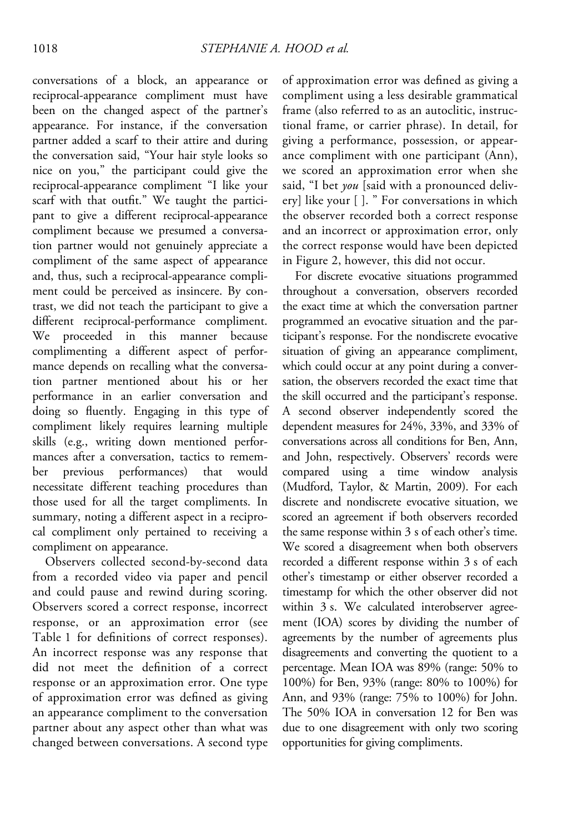conversations of a block, an appearance or reciprocal-appearance compliment must have been on the changed aspect of the partner's appearance. For instance, if the conversation partner added a scarf to their attire and during the conversation said, "Your hair style looks so nice on you," the participant could give the reciprocal-appearance compliment "I like your scarf with that outfit." We taught the participant to give a different reciprocal-appearance compliment because we presumed a conversation partner would not genuinely appreciate a compliment of the same aspect of appearance and, thus, such a reciprocal-appearance compliment could be perceived as insincere. By contrast, we did not teach the participant to give a different reciprocal-performance compliment. We proceeded in this manner because complimenting a different aspect of performance depends on recalling what the conversation partner mentioned about his or her performance in an earlier conversation and doing so fluently. Engaging in this type of compliment likely requires learning multiple skills (e.g., writing down mentioned performances after a conversation, tactics to remember previous performances) that would necessitate different teaching procedures than those used for all the target compliments. In summary, noting a different aspect in a reciprocal compliment only pertained to receiving a compliment on appearance.

Observers collected second-by-second data from a recorded video via paper and pencil and could pause and rewind during scoring. Observers scored a correct response, incorrect response, or an approximation error (see Table 1 for definitions of correct responses). An incorrect response was any response that did not meet the definition of a correct response or an approximation error. One type of approximation error was defined as giving an appearance compliment to the conversation partner about any aspect other than what was changed between conversations. A second type

of approximation error was defined as giving a compliment using a less desirable grammatical frame (also referred to as an autoclitic, instructional frame, or carrier phrase). In detail, for giving a performance, possession, or appearance compliment with one participant (Ann), we scored an approximation error when she said, "I bet you [said with a pronounced delivery] like your [ ]. " For conversations in which the observer recorded both a correct response and an incorrect or approximation error, only the correct response would have been depicted in Figure 2, however, this did not occur.

For discrete evocative situations programmed throughout a conversation, observers recorded the exact time at which the conversation partner programmed an evocative situation and the participant's response. For the nondiscrete evocative situation of giving an appearance compliment, which could occur at any point during a conversation, the observers recorded the exact time that the skill occurred and the participant's response. A second observer independently scored the dependent measures for 24%, 33%, and 33% of conversations across all conditions for Ben, Ann, and John, respectively. Observers' records were compared using a time window analysis (Mudford, Taylor, & Martin, 2009). For each discrete and nondiscrete evocative situation, we scored an agreement if both observers recorded the same response within 3 s of each other's time. We scored a disagreement when both observers recorded a different response within 3 s of each other's timestamp or either observer recorded a timestamp for which the other observer did not within 3 s. We calculated interobserver agreement (IOA) scores by dividing the number of agreements by the number of agreements plus disagreements and converting the quotient to a percentage. Mean IOA was 89% (range: 50% to 100%) for Ben, 93% (range: 80% to 100%) for Ann, and 93% (range: 75% to 100%) for John. The 50% IOA in conversation 12 for Ben was due to one disagreement with only two scoring opportunities for giving compliments.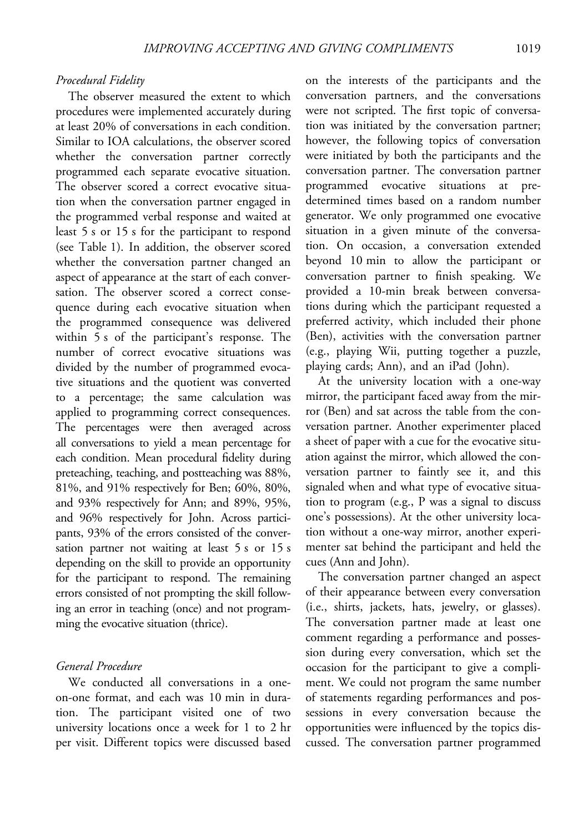#### Procedural Fidelity

The observer measured the extent to which procedures were implemented accurately during at least 20% of conversations in each condition. Similar to IOA calculations, the observer scored whether the conversation partner correctly programmed each separate evocative situation. The observer scored a correct evocative situation when the conversation partner engaged in the programmed verbal response and waited at least 5 s or 15 s for the participant to respond (see Table 1). In addition, the observer scored whether the conversation partner changed an aspect of appearance at the start of each conversation. The observer scored a correct consequence during each evocative situation when the programmed consequence was delivered within 5 s of the participant's response. The number of correct evocative situations was divided by the number of programmed evocative situations and the quotient was converted to a percentage; the same calculation was applied to programming correct consequences. The percentages were then averaged across all conversations to yield a mean percentage for each condition. Mean procedural fidelity during preteaching, teaching, and postteaching was 88%, 81%, and 91% respectively for Ben; 60%, 80%, and 93% respectively for Ann; and 89%, 95%, and 96% respectively for John. Across participants, 93% of the errors consisted of the conversation partner not waiting at least 5 s or 15 s depending on the skill to provide an opportunity for the participant to respond. The remaining errors consisted of not prompting the skill following an error in teaching (once) and not programming the evocative situation (thrice).

## General Procedure

We conducted all conversations in a oneon-one format, and each was 10 min in duration. The participant visited one of two university locations once a week for 1 to 2 hr per visit. Different topics were discussed based on the interests of the participants and the conversation partners, and the conversations were not scripted. The first topic of conversation was initiated by the conversation partner; however, the following topics of conversation were initiated by both the participants and the conversation partner. The conversation partner programmed evocative situations at predetermined times based on a random number generator. We only programmed one evocative situation in a given minute of the conversation. On occasion, a conversation extended beyond 10 min to allow the participant or conversation partner to finish speaking. We provided a 10-min break between conversations during which the participant requested a preferred activity, which included their phone (Ben), activities with the conversation partner (e.g., playing Wii, putting together a puzzle, playing cards; Ann), and an iPad (John).

At the university location with a one-way mirror, the participant faced away from the mirror (Ben) and sat across the table from the conversation partner. Another experimenter placed a sheet of paper with a cue for the evocative situation against the mirror, which allowed the conversation partner to faintly see it, and this signaled when and what type of evocative situation to program (e.g., P was a signal to discuss one's possessions). At the other university location without a one-way mirror, another experimenter sat behind the participant and held the cues (Ann and John).

The conversation partner changed an aspect of their appearance between every conversation (i.e., shirts, jackets, hats, jewelry, or glasses). The conversation partner made at least one comment regarding a performance and possession during every conversation, which set the occasion for the participant to give a compliment. We could not program the same number of statements regarding performances and possessions in every conversation because the opportunities were influenced by the topics discussed. The conversation partner programmed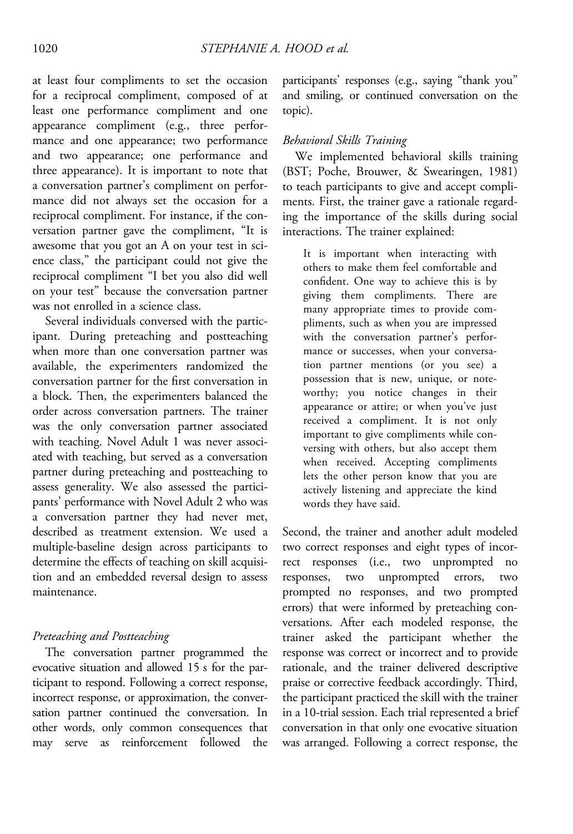at least four compliments to set the occasion for a reciprocal compliment, composed of at least one performance compliment and one appearance compliment (e.g., three performance and one appearance; two performance and two appearance; one performance and three appearance). It is important to note that a conversation partner's compliment on performance did not always set the occasion for a reciprocal compliment. For instance, if the conversation partner gave the compliment, "It is awesome that you got an A on your test in science class," the participant could not give the reciprocal compliment "I bet you also did well on your test" because the conversation partner was not enrolled in a science class.

Several individuals conversed with the participant. During preteaching and postteaching when more than one conversation partner was available, the experimenters randomized the conversation partner for the first conversation in a block. Then, the experimenters balanced the order across conversation partners. The trainer was the only conversation partner associated with teaching. Novel Adult 1 was never associated with teaching, but served as a conversation partner during preteaching and postteaching to assess generality. We also assessed the participants' performance with Novel Adult 2 who was a conversation partner they had never met, described as treatment extension. We used a multiple-baseline design across participants to determine the effects of teaching on skill acquisition and an embedded reversal design to assess maintenance.

## Preteaching and Postteaching

The conversation partner programmed the evocative situation and allowed 15 s for the participant to respond. Following a correct response, incorrect response, or approximation, the conversation partner continued the conversation. In other words, only common consequences that may serve as reinforcement followed the

participants' responses (e.g., saying "thank you" and smiling, or continued conversation on the topic).

### Behavioral Skills Training

We implemented behavioral skills training (BST; Poche, Brouwer, & Swearingen, 1981) to teach participants to give and accept compliments. First, the trainer gave a rationale regarding the importance of the skills during social interactions. The trainer explained:

It is important when interacting with others to make them feel comfortable and confident. One way to achieve this is by giving them compliments. There are many appropriate times to provide compliments, such as when you are impressed with the conversation partner's performance or successes, when your conversation partner mentions (or you see) a possession that is new, unique, or noteworthy; you notice changes in their appearance or attire; or when you've just received a compliment. It is not only important to give compliments while conversing with others, but also accept them when received. Accepting compliments lets the other person know that you are actively listening and appreciate the kind words they have said.

Second, the trainer and another adult modeled two correct responses and eight types of incorrect responses (i.e., two unprompted no responses, two unprompted errors, two prompted no responses, and two prompted errors) that were informed by preteaching conversations. After each modeled response, the trainer asked the participant whether the response was correct or incorrect and to provide rationale, and the trainer delivered descriptive praise or corrective feedback accordingly. Third, the participant practiced the skill with the trainer in a 10-trial session. Each trial represented a brief conversation in that only one evocative situation was arranged. Following a correct response, the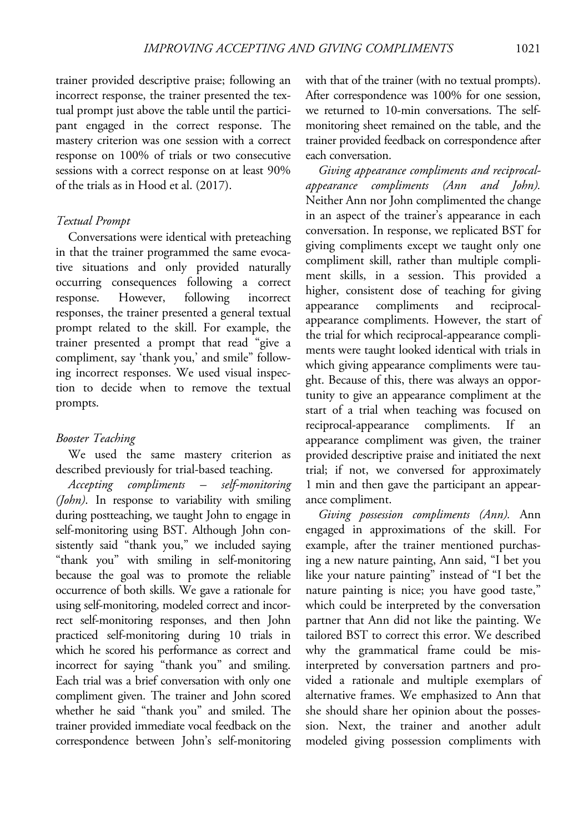trainer provided descriptive praise; following an incorrect response, the trainer presented the textual prompt just above the table until the participant engaged in the correct response. The mastery criterion was one session with a correct response on 100% of trials or two consecutive sessions with a correct response on at least 90% of the trials as in Hood et al. (2017).

## Textual Prompt

Conversations were identical with preteaching in that the trainer programmed the same evocative situations and only provided naturally occurring consequences following a correct response. However, following incorrect responses, the trainer presented a general textual prompt related to the skill. For example, the trainer presented a prompt that read "give a compliment, say 'thank you,' and smile" following incorrect responses. We used visual inspection to decide when to remove the textual prompts.

# Booster Teaching

We used the same mastery criterion as described previously for trial-based teaching.

Accepting compliments – self-monitoring (John). In response to variability with smiling during postteaching, we taught John to engage in self-monitoring using BST. Although John consistently said "thank you," we included saying "thank you" with smiling in self-monitoring because the goal was to promote the reliable occurrence of both skills. We gave a rationale for using self-monitoring, modeled correct and incorrect self-monitoring responses, and then John practiced self-monitoring during 10 trials in which he scored his performance as correct and incorrect for saying "thank you" and smiling. Each trial was a brief conversation with only one compliment given. The trainer and John scored whether he said "thank you" and smiled. The trainer provided immediate vocal feedback on the correspondence between John's self-monitoring with that of the trainer (with no textual prompts). After correspondence was 100% for one session, we returned to 10-min conversations. The selfmonitoring sheet remained on the table, and the trainer provided feedback on correspondence after each conversation.

Giving appearance compliments and reciprocalappearance compliments (Ann and John). Neither Ann nor John complimented the change in an aspect of the trainer's appearance in each conversation. In response, we replicated BST for giving compliments except we taught only one compliment skill, rather than multiple compliment skills, in a session. This provided a higher, consistent dose of teaching for giving appearance compliments and reciprocalappearance compliments. However, the start of the trial for which reciprocal-appearance compliments were taught looked identical with trials in which giving appearance compliments were taught. Because of this, there was always an opportunity to give an appearance compliment at the start of a trial when teaching was focused on reciprocal-appearance compliments. If an appearance compliment was given, the trainer provided descriptive praise and initiated the next trial; if not, we conversed for approximately 1 min and then gave the participant an appearance compliment.

Giving possession compliments (Ann). Ann engaged in approximations of the skill. For example, after the trainer mentioned purchasing a new nature painting, Ann said, "I bet you like your nature painting" instead of "I bet the nature painting is nice; you have good taste," which could be interpreted by the conversation partner that Ann did not like the painting. We tailored BST to correct this error. We described why the grammatical frame could be misinterpreted by conversation partners and provided a rationale and multiple exemplars of alternative frames. We emphasized to Ann that she should share her opinion about the possession. Next, the trainer and another adult modeled giving possession compliments with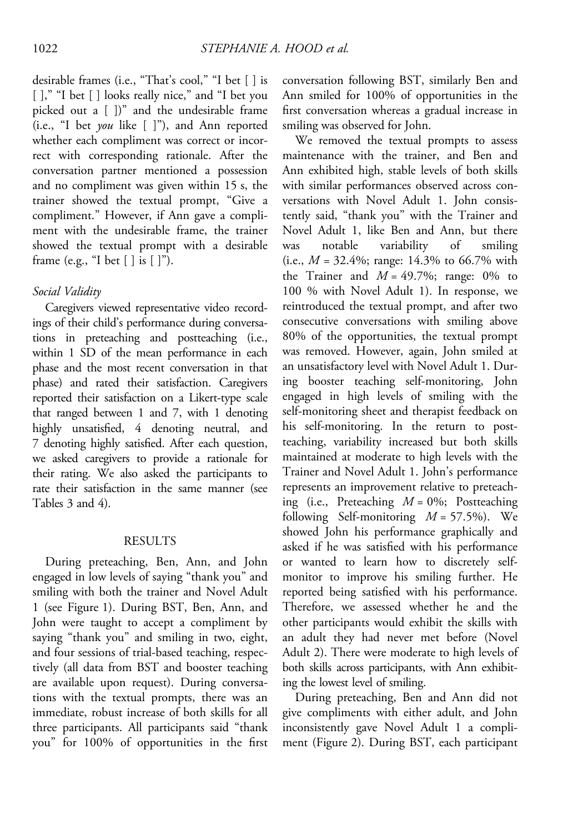desirable frames (i.e., "That's cool," "I bet [ ] is []," "I bet [] looks really nice," and "I bet you picked out a [ ])" and the undesirable frame (i.e., "I bet you like [ ]"), and Ann reported whether each compliment was correct or incorrect with corresponding rationale. After the conversation partner mentioned a possession and no compliment was given within 15 s, the trainer showed the textual prompt, "Give a compliment." However, if Ann gave a compliment with the undesirable frame, the trainer showed the textual prompt with a desirable frame (e.g., "I bet [ ] is [ ]").

### Social Validity

Caregivers viewed representative video recordings of their child's performance during conversations in preteaching and postteaching (i.e., within 1 SD of the mean performance in each phase and the most recent conversation in that phase) and rated their satisfaction. Caregivers reported their satisfaction on a Likert-type scale that ranged between 1 and 7, with 1 denoting highly unsatisfied, 4 denoting neutral, and 7 denoting highly satisfied. After each question, we asked caregivers to provide a rationale for their rating. We also asked the participants to rate their satisfaction in the same manner (see Tables 3 and 4).

### RESULTS

During preteaching, Ben, Ann, and John engaged in low levels of saying "thank you" and smiling with both the trainer and Novel Adult 1 (see Figure 1). During BST, Ben, Ann, and John were taught to accept a compliment by saying "thank you" and smiling in two, eight, and four sessions of trial-based teaching, respectively (all data from BST and booster teaching are available upon request). During conversations with the textual prompts, there was an immediate, robust increase of both skills for all three participants. All participants said "thank you" for 100% of opportunities in the first

conversation following BST, similarly Ben and Ann smiled for 100% of opportunities in the first conversation whereas a gradual increase in smiling was observed for John.

We removed the textual prompts to assess maintenance with the trainer, and Ben and Ann exhibited high, stable levels of both skills with similar performances observed across conversations with Novel Adult 1. John consistently said, "thank you" with the Trainer and Novel Adult 1, like Ben and Ann, but there was notable variability of smiling (i.e.,  $M = 32.4\%$ ; range: 14.3% to 66.7% with the Trainer and  $M = 49.7\%$ ; range: 0% to 100 % with Novel Adult 1). In response, we reintroduced the textual prompt, and after two consecutive conversations with smiling above 80% of the opportunities, the textual prompt was removed. However, again, John smiled at an unsatisfactory level with Novel Adult 1. During booster teaching self-monitoring, John engaged in high levels of smiling with the self-monitoring sheet and therapist feedback on his self-monitoring. In the return to postteaching, variability increased but both skills maintained at moderate to high levels with the Trainer and Novel Adult 1. John's performance represents an improvement relative to preteaching (i.e., Preteaching  $M = 0\%$ ; Postteaching following Self-monitoring  $M = 57.5\%$ ). We showed John his performance graphically and asked if he was satisfied with his performance or wanted to learn how to discretely selfmonitor to improve his smiling further. He reported being satisfied with his performance. Therefore, we assessed whether he and the other participants would exhibit the skills with an adult they had never met before (Novel Adult 2). There were moderate to high levels of both skills across participants, with Ann exhibiting the lowest level of smiling.

During preteaching, Ben and Ann did not give compliments with either adult, and John inconsistently gave Novel Adult 1 a compliment (Figure 2). During BST, each participant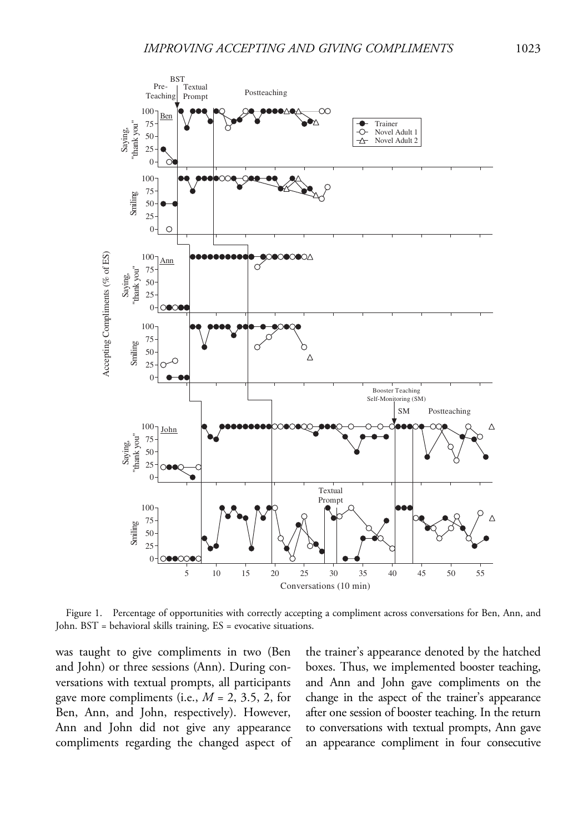

Figure 1. Percentage of opportunities with correctly accepting a compliment across conversations for Ben, Ann, and John. BST = behavioral skills training, ES = evocative situations.

was taught to give compliments in two (Ben and John) or three sessions (Ann). During conversations with textual prompts, all participants gave more compliments (i.e.,  $M = 2, 3.5, 2$ , for Ben, Ann, and John, respectively). However, Ann and John did not give any appearance compliments regarding the changed aspect of the trainer's appearance denoted by the hatched boxes. Thus, we implemented booster teaching, and Ann and John gave compliments on the change in the aspect of the trainer's appearance after one session of booster teaching. In the return to conversations with textual prompts, Ann gave an appearance compliment in four consecutive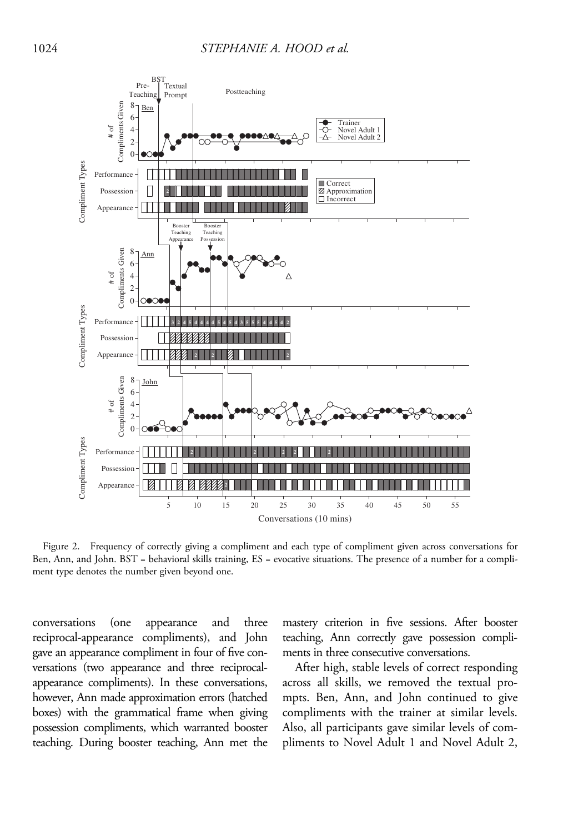

Figure 2. Frequency of correctly giving a compliment and each type of compliment given across conversations for Ben, Ann, and John. BST = behavioral skills training, ES = evocative situations. The presence of a number for a compliment type denotes the number given beyond one.

conversations (one appearance and three reciprocal-appearance compliments), and John gave an appearance compliment in four of five conversations (two appearance and three reciprocalappearance compliments). In these conversations, however, Ann made approximation errors (hatched boxes) with the grammatical frame when giving possession compliments, which warranted booster teaching. During booster teaching, Ann met the mastery criterion in five sessions. After booster teaching, Ann correctly gave possession compliments in three consecutive conversations.

After high, stable levels of correct responding across all skills, we removed the textual prompts. Ben, Ann, and John continued to give compliments with the trainer at similar levels. Also, all participants gave similar levels of compliments to Novel Adult 1 and Novel Adult 2,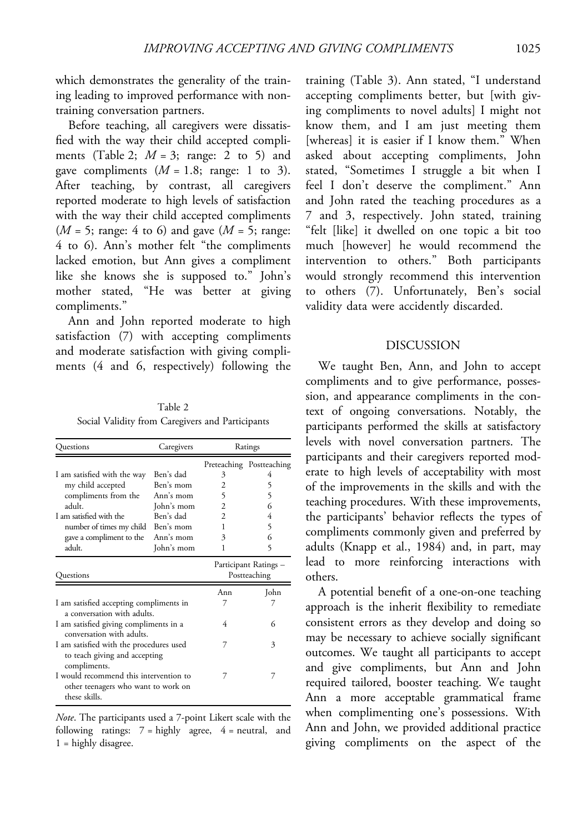which demonstrates the generality of the training leading to improved performance with nontraining conversation partners.

Before teaching, all caregivers were dissatisfied with the way their child accepted compliments (Table 2;  $M = 3$ ; range: 2 to 5) and gave compliments  $(M = 1.8; \text{ range: } 1 \text{ to } 3)$ . After teaching, by contrast, all caregivers reported moderate to high levels of satisfaction with the way their child accepted compliments  $(M = 5; \text{ range: } 4 \text{ to } 6)$  and gave  $(M = 5; \text{ range: } 6)$ 4 to 6). Ann's mother felt "the compliments lacked emotion, but Ann gives a compliment like she knows she is supposed to." John's mother stated, "He was better at giving compliments."

Ann and John reported moderate to high satisfaction (7) with accepting compliments and moderate satisfaction with giving compliments (4 and 6, respectively) following the

Table 2 Social Validity from Caregivers and Participants

| Questions                                                                                      | Caregivers | Ratings                               |                          |
|------------------------------------------------------------------------------------------------|------------|---------------------------------------|--------------------------|
|                                                                                                |            |                                       | Preteaching Postteaching |
| I am satisfied with the way                                                                    | Ben's dad  | 3                                     | 4                        |
| my child accepted                                                                              | Ben's mom  | 2                                     | 5                        |
| compliments from the                                                                           | Ann's mom  | 5                                     | 5                        |
| adult                                                                                          | John's mom | $\overline{c}$                        | 6                        |
| I am satisfied with the                                                                        | Ben's dad  | $\mathfrak{D}$                        | 4                        |
| number of times my child Ben's mom                                                             |            | 1                                     | 5                        |
| gave a compliment to the                                                                       | Ann's mom  | 3                                     | 6                        |
| adult.                                                                                         | John's mom | 1                                     | 5                        |
| Questions                                                                                      |            | Participant Ratings -<br>Postteaching |                          |
|                                                                                                |            | Ann                                   | John                     |
| I am satisfied accepting compliments in                                                        |            |                                       |                          |
| a conversation with adults.                                                                    |            |                                       |                          |
| I am satisfied giving compliments in a                                                         |            | 4                                     | 6                        |
| conversation with adults.                                                                      |            |                                       |                          |
| I am satisfied with the procedures used                                                        |            | 7                                     | 3                        |
| to teach giving and accepting<br>compliments.                                                  |            |                                       |                          |
| I would recommend this intervention to<br>other teenagers who want to work on<br>these skills. |            |                                       | 7                        |

Note. The participants used a 7-point Likert scale with the following ratings:  $7 =$  highly agree,  $4 =$  neutral, and 1 = highly disagree.

training (Table 3). Ann stated, "I understand accepting compliments better, but [with giving compliments to novel adults] I might not know them, and I am just meeting them [whereas] it is easier if I know them." When asked about accepting compliments, John stated, "Sometimes I struggle a bit when I feel I don't deserve the compliment." Ann and John rated the teaching procedures as a 7 and 3, respectively. John stated, training "felt [like] it dwelled on one topic a bit too much [however] he would recommend the intervention to others." Both participants would strongly recommend this intervention to others (7). Unfortunately, Ben's social validity data were accidently discarded.

#### DISCUSSION

We taught Ben, Ann, and John to accept compliments and to give performance, possession, and appearance compliments in the context of ongoing conversations. Notably, the participants performed the skills at satisfactory levels with novel conversation partners. The participants and their caregivers reported moderate to high levels of acceptability with most of the improvements in the skills and with the teaching procedures. With these improvements, the participants' behavior reflects the types of compliments commonly given and preferred by adults (Knapp et al., 1984) and, in part, may lead to more reinforcing interactions with others.

A potential benefit of a one-on-one teaching approach is the inherit flexibility to remediate consistent errors as they develop and doing so may be necessary to achieve socially significant outcomes. We taught all participants to accept and give compliments, but Ann and John required tailored, booster teaching. We taught Ann a more acceptable grammatical frame when complimenting one's possessions. With Ann and John, we provided additional practice giving compliments on the aspect of the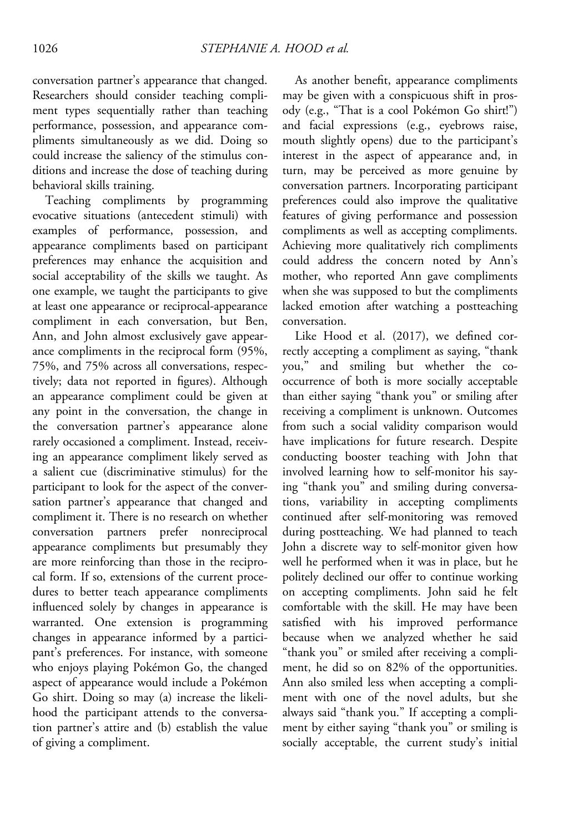conversation partner's appearance that changed. Researchers should consider teaching compliment types sequentially rather than teaching performance, possession, and appearance compliments simultaneously as we did. Doing so could increase the saliency of the stimulus conditions and increase the dose of teaching during behavioral skills training.

Teaching compliments by programming evocative situations (antecedent stimuli) with examples of performance, possession, and appearance compliments based on participant preferences may enhance the acquisition and social acceptability of the skills we taught. As one example, we taught the participants to give at least one appearance or reciprocal-appearance compliment in each conversation, but Ben, Ann, and John almost exclusively gave appearance compliments in the reciprocal form (95%, 75%, and 75% across all conversations, respectively; data not reported in figures). Although an appearance compliment could be given at any point in the conversation, the change in the conversation partner's appearance alone rarely occasioned a compliment. Instead, receiving an appearance compliment likely served as a salient cue (discriminative stimulus) for the participant to look for the aspect of the conversation partner's appearance that changed and compliment it. There is no research on whether conversation partners prefer nonreciprocal appearance compliments but presumably they are more reinforcing than those in the reciprocal form. If so, extensions of the current procedures to better teach appearance compliments influenced solely by changes in appearance is warranted. One extension is programming changes in appearance informed by a participant's preferences. For instance, with someone who enjoys playing Pokémon Go, the changed aspect of appearance would include a Pokémon Go shirt. Doing so may (a) increase the likelihood the participant attends to the conversation partner's attire and (b) establish the value of giving a compliment.

As another benefit, appearance compliments may be given with a conspicuous shift in prosody (e.g., "That is a cool Pokémon Go shirt!") and facial expressions (e.g., eyebrows raise, mouth slightly opens) due to the participant's interest in the aspect of appearance and, in turn, may be perceived as more genuine by conversation partners. Incorporating participant preferences could also improve the qualitative features of giving performance and possession compliments as well as accepting compliments. Achieving more qualitatively rich compliments could address the concern noted by Ann's mother, who reported Ann gave compliments when she was supposed to but the compliments lacked emotion after watching a postteaching conversation.

Like Hood et al. (2017), we defined correctly accepting a compliment as saying, "thank you," and smiling but whether the cooccurrence of both is more socially acceptable than either saying "thank you" or smiling after receiving a compliment is unknown. Outcomes from such a social validity comparison would have implications for future research. Despite conducting booster teaching with John that involved learning how to self-monitor his saying "thank you" and smiling during conversations, variability in accepting compliments continued after self-monitoring was removed during postteaching. We had planned to teach John a discrete way to self-monitor given how well he performed when it was in place, but he politely declined our offer to continue working on accepting compliments. John said he felt comfortable with the skill. He may have been satisfied with his improved performance because when we analyzed whether he said "thank you" or smiled after receiving a compliment, he did so on 82% of the opportunities. Ann also smiled less when accepting a compliment with one of the novel adults, but she always said "thank you." If accepting a compliment by either saying "thank you" or smiling is socially acceptable, the current study's initial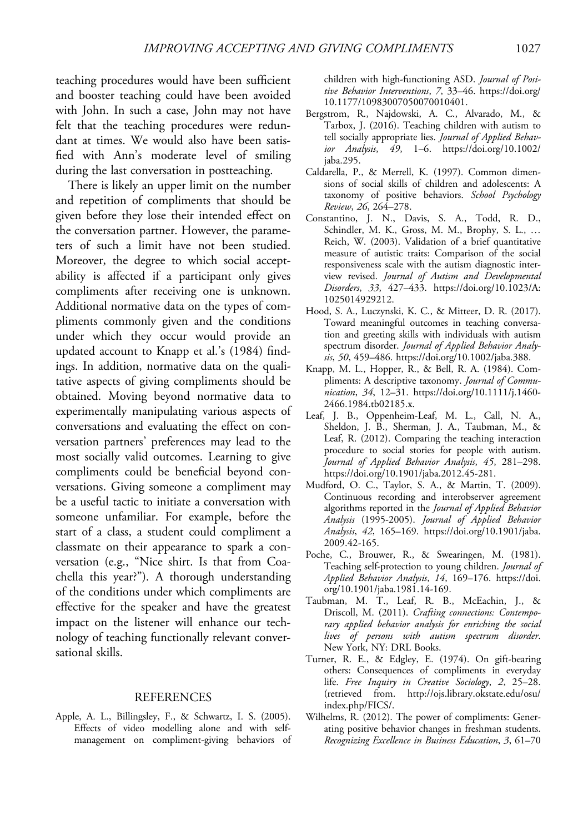teaching procedures would have been sufficient and booster teaching could have been avoided with John. In such a case, John may not have felt that the teaching procedures were redundant at times. We would also have been satisfied with Ann's moderate level of smiling during the last conversation in postteaching.

There is likely an upper limit on the number and repetition of compliments that should be given before they lose their intended effect on the conversation partner. However, the parameters of such a limit have not been studied. Moreover, the degree to which social acceptability is affected if a participant only gives compliments after receiving one is unknown. Additional normative data on the types of compliments commonly given and the conditions under which they occur would provide an updated account to Knapp et al.'s (1984) findings. In addition, normative data on the qualitative aspects of giving compliments should be obtained. Moving beyond normative data to experimentally manipulating various aspects of conversations and evaluating the effect on conversation partners' preferences may lead to the most socially valid outcomes. Learning to give compliments could be beneficial beyond conversations. Giving someone a compliment may be a useful tactic to initiate a conversation with someone unfamiliar. For example, before the start of a class, a student could compliment a classmate on their appearance to spark a conversation (e.g., "Nice shirt. Is that from Coachella this year?"). A thorough understanding of the conditions under which compliments are effective for the speaker and have the greatest impact on the listener will enhance our technology of teaching functionally relevant conversational skills.

### **REFERENCES**

Apple, A. L., Billingsley, F., & Schwartz, I. S. (2005). Effects of video modelling alone and with selfmanagement on compliment-giving behaviors of children with high-functioning ASD. Journal of Positive Behavior Interventions, 7, 33–46. [https://doi.org/](https://doi.org/10.1177/10983007050070010401) [10.1177/10983007050070010401](https://doi.org/10.1177/10983007050070010401).

- Bergstrom, R., Najdowski, A. C., Alvarado, M., & Tarbox, J. (2016). Teaching children with autism to tell socially appropriate lies. Journal of Applied Behavior Analysis, 49, 1–6. [https://doi.org/10.1002/](https://doi.org/10.1002/jaba.295) [jaba.295.](https://doi.org/10.1002/jaba.295)
- Caldarella, P., & Merrell, K. (1997). Common dimensions of social skills of children and adolescents: A taxonomy of positive behaviors. School Psychology Review, 26, 264–278.
- Constantino, J. N., Davis, S. A., Todd, R. D., Schindler, M. K., Gross, M. M., Brophy, S. L., … Reich, W. (2003). Validation of a brief quantitative measure of autistic traits: Comparison of the social responsiveness scale with the autism diagnostic interview revised. Journal of Autism and Developmental Disorders, 33, 427–433. [https://doi.org/10.1023/A:](https://doi.org/10.1023/A:1025014929212) [1025014929212.](https://doi.org/10.1023/A:1025014929212)
- Hood, S. A., Luczynski, K. C., & Mitteer, D. R. (2017). Toward meaningful outcomes in teaching conversation and greeting skills with individuals with autism spectrum disorder. Journal of Applied Behavior Analysis, 50, 459–486. [https://doi.org/10.1002/jaba.388.](https://doi.org/10.1002/jaba.388)
- Knapp, M. L., Hopper, R., & Bell, R. A. (1984). Compliments: A descriptive taxonomy. Journal of Communication, 34, 12–31. [https://doi.org/10.1111/j.1460-](https://doi.org/10.1111/j.1460-2466.1984.tb02185.x) [2466.1984.tb02185.x](https://doi.org/10.1111/j.1460-2466.1984.tb02185.x).
- Leaf, J. B., Oppenheim-Leaf, M. L., Call, N. A., Sheldon, J. B., Sherman, J. A., Taubman, M., & Leaf, R. (2012). Comparing the teaching interaction procedure to social stories for people with autism. Journal of Applied Behavior Analysis, 45, 281–298. [https://doi.org/10.1901/jaba.2012.45-281.](https://doi.org/10.1901/jaba.2012.45-281)
- Mudford, O. C., Taylor, S. A., & Martin, T. (2009). Continuous recording and interobserver agreement algorithms reported in the Journal of Applied Behavior Analysis (1995-2005). Journal of Applied Behavior Analysis, 42, 165–169. [https://doi.org/10.1901/jaba.](https://doi.org/10.1901/jaba.2009.42-165) [2009.42-165.](https://doi.org/10.1901/jaba.2009.42-165)
- Poche, C., Brouwer, R., & Swearingen, M. (1981). Teaching self-protection to young children. Journal of Applied Behavior Analysis, 14, 169–176. [https://doi.](https://doi.org/10.1901/jaba.1981.14-169) [org/10.1901/jaba.1981.14-169.](https://doi.org/10.1901/jaba.1981.14-169)
- Taubman, M. T., Leaf, R. B., McEachin, J., & Driscoll, M. (2011). Crafting connections: Contemporary applied behavior analysis for enriching the social lives of persons with autism spectrum disorder. New York, NY: DRL Books.
- Turner, R. E., & Edgley, E. (1974). On gift-bearing others: Consequences of compliments in everyday life. Free Inquiry in Creative Sociology, 2, 25–28. (retrieved from. [http://ojs.library.okstate.edu/osu/](http://ojs.library.okstate.edu/osu/index.php/FICS/) [index.php/FICS/.](http://ojs.library.okstate.edu/osu/index.php/FICS/)
- Wilhelms, R. (2012). The power of compliments: Generating positive behavior changes in freshman students. Recognizing Excellence in Business Education, 3, 61–70